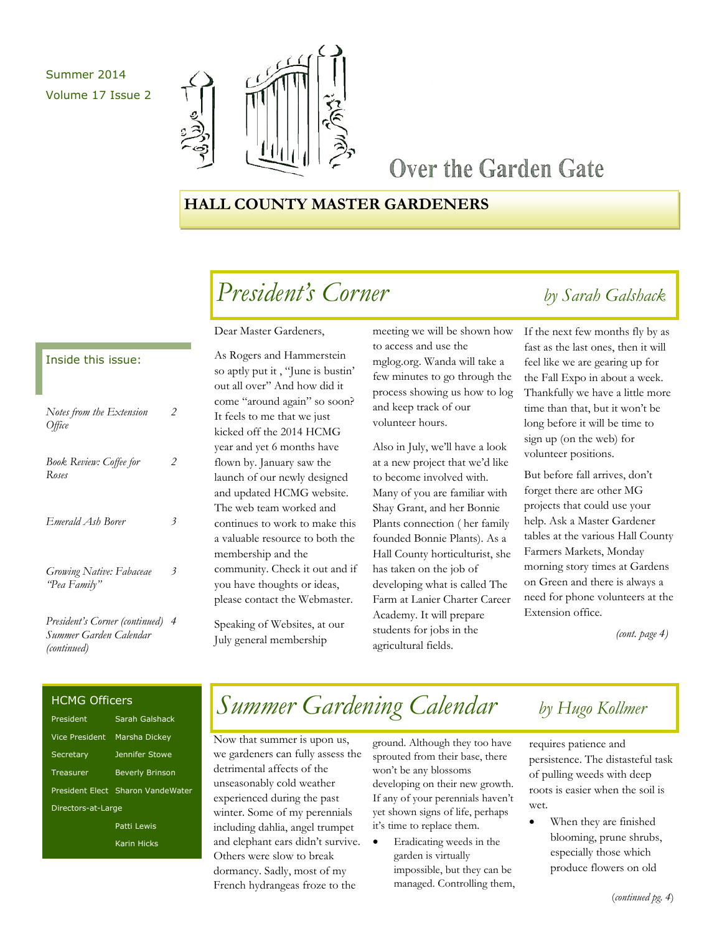## Summer 2014 Volume 17 Issue 2



## Over the Garden Gate

## **HALL COUNTY MASTER GARDENERS**

## *President's Corner by Sarah Galshack*

### Inside this issue:

| Notes from the Extension<br>Office       | 2 |
|------------------------------------------|---|
| <b>Book Review: Coffee for</b><br>Roses  | 2 |
| Emerald Ash Borer                        | 3 |
| Growing Native: Fabaceae<br>'Pea Family" | 3 |
| Procident's Corner (continued) 4         |   |

*President's Corner (continued) Summer Garden Calendar (continued) 4*

### Dear Master Gardeners,

As Rogers and Hammerstein so aptly put it , "June is bustin' out all over" And how did it come "around again" so soon? It feels to me that we just kicked off the 2014 HCMG year and yet 6 months have flown by. January saw the launch of our newly designed and updated HCMG website. The web team worked and continues to work to make this a valuable resource to both the membership and the community. Check it out and if you have thoughts or ideas, please contact the Webmaster.

Speaking of Websites, at our July general membership

meeting we will be shown how to access and use the mglog.org. Wanda will take a few minutes to go through the process showing us how to log and keep track of our volunteer hours.

Also in July, we'll have a look at a new project that we'd like to become involved with. Many of you are familiar with Shay Grant, and her Bonnie Plants connection ( her family founded Bonnie Plants). As a Hall County horticulturist, she has taken on the job of developing what is called The Farm at Lanier Charter Career Academy. It will prepare students for jobs in the agricultural fields.

If the next few months fly by as fast as the last ones, then it will feel like we are gearing up for the Fall Expo in about a week. Thankfully we have a little more time than that, but it won't be long before it will be time to sign up (on the web) for volunteer positions.

But before fall arrives, don't forget there are other MG projects that could use your help. Ask a Master Gardener tables at the various Hall County Farmers Markets, Monday morning story times at Gardens on Green and there is always a need for phone volunteers at the Extension office.

 *(cont. page 4)*

### HCMG Officers

| President          | Sarah Galshack                    |
|--------------------|-----------------------------------|
| Vice President     | <b>Marsha Dickey</b>              |
| Secretary          | <b>Jennifer Stowe</b>             |
| Treasurer          | <b>Beverly Brinson</b>            |
|                    | President Elect Sharon VandeWater |
| Directors-at-Large |                                   |
|                    | Patti Lewis                       |
|                    | Karin Hicks                       |

## *Summer Gardening Calendar by Hugo Kollmer*

Now that summer is upon us, we gardeners can fully assess the detrimental affects of the unseasonably cold weather experienced during the past winter. Some of my perennials including dahlia, angel trumpet and elephant ears didn't survive. Others were slow to break dormancy. Sadly, most of my French hydrangeas froze to the

ground. Although they too have sprouted from their base, there won't be any blossoms developing on their new growth. If any of your perennials haven't yet shown signs of life, perhaps it's time to replace them.

 Eradicating weeds in the garden is virtually impossible, but they can be managed. Controlling them,

requires patience and persistence. The distasteful task of pulling weeds with deep roots is easier when the soil is wet.

 When they are finished blooming, prune shrubs, especially those which produce flowers on old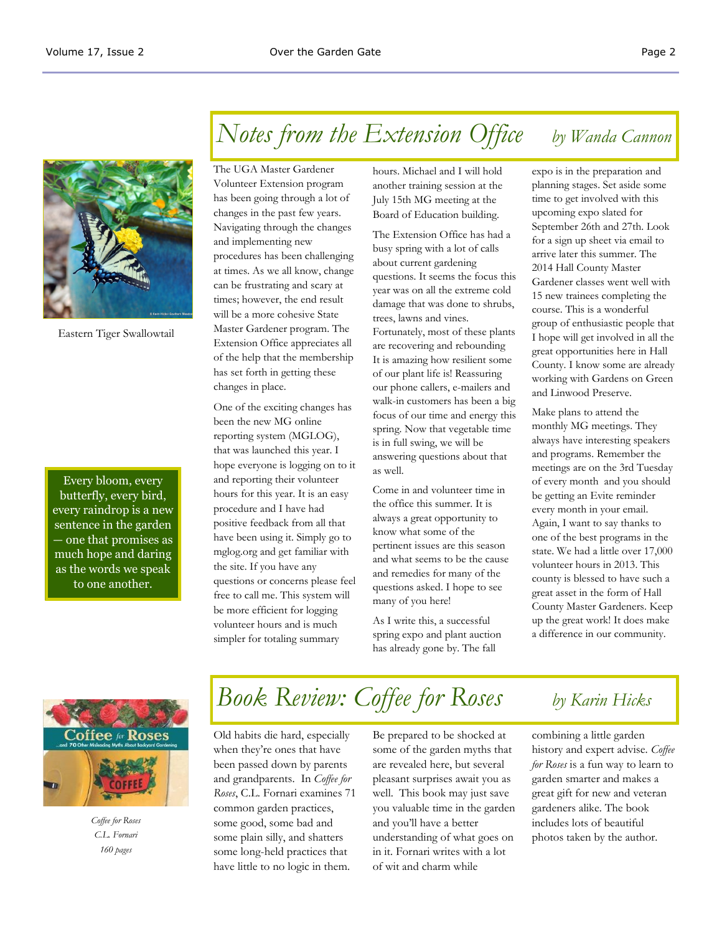

Eastern Tiger Swallowtail

Every bloom, every butterfly, every bird, every raindrop is a new sentence in the garden — one that promises as much hope and daring as the words we speak to one another.

## *Notes from the Extension Office by Wanda Cannon*

The UGA Master Gardener Volunteer Extension program has been going through a lot of changes in the past few years. Navigating through the changes and implementing new procedures has been challenging at times. As we all know, change can be frustrating and scary at times; however, the end result will be a more cohesive State Master Gardener program. The Extension Office appreciates all of the help that the membership has set forth in getting these changes in place.

One of the exciting changes has been the new MG online reporting system (MGLOG), that was launched this year. I hope everyone is logging on to it and reporting their volunteer hours for this year. It is an easy procedure and I have had positive feedback from all that have been using it. Simply go to mglog.org and get familiar with the site. If you have any questions or concerns please feel free to call me. This system will be more efficient for logging volunteer hours and is much simpler for totaling summary

hours. Michael and I will hold another training session at the July 15th MG meeting at the Board of Education building.

The Extension Office has had a busy spring with a lot of calls about current gardening questions. It seems the focus this year was on all the extreme cold damage that was done to shrubs, trees, lawns and vines. Fortunately, most of these plants are recovering and rebounding It is amazing how resilient some of our plant life is! Reassuring our phone callers, e-mailers and walk-in customers has been a big focus of our time and energy this spring. Now that vegetable time is in full swing, we will be answering questions about that as well.

Come in and volunteer time in the office this summer. It is always a great opportunity to know what some of the pertinent issues are this season and what seems to be the cause and remedies for many of the questions asked. I hope to see many of you here!

As I write this, a successful spring expo and plant auction has already gone by. The fall

expo is in the preparation and planning stages. Set aside some time to get involved with this upcoming expo slated for September 26th and 27th. Look for a sign up sheet via email to arrive later this summer. The 2014 Hall County Master Gardener classes went well with 15 new trainees completing the course. This is a wonderful group of enthusiastic people that I hope will get involved in all the great opportunities here in Hall County. I know some are already working with Gardens on Green and Linwood Preserve.

Make plans to attend the monthly MG meetings. They always have interesting speakers and programs. Remember the meetings are on the 3rd Tuesday of every month and you should be getting an Evite reminder every month in your email. Again, I want to say thanks to one of the best programs in the state. We had a little over 17,000 volunteer hours in 2013. This county is blessed to have such a great asset in the form of Hall County Master Gardeners. Keep up the great work! It does make a difference in our community.



*Coffee for Roses C.L. Fornari 160 pages* 

# *Book Review: Coffee for Roses by Karin Hicks*

Old habits die hard, especially when they're ones that have been passed down by parents and grandparents. In *Coffee for Roses*, C.L. Fornari examines 71 common garden practices, some good, some bad and some plain silly, and shatters some long-held practices that have little to no logic in them.

Be prepared to be shocked at some of the garden myths that are revealed here, but several pleasant surprises await you as well. This book may just save you valuable time in the garden and you'll have a better understanding of what goes on in it. Fornari writes with a lot of wit and charm while

combining a little garden history and expert advise. *Coffee for Roses* is a fun way to learn to garden smarter and makes a great gift for new and veteran gardeners alike. The book includes lots of beautiful photos taken by the author.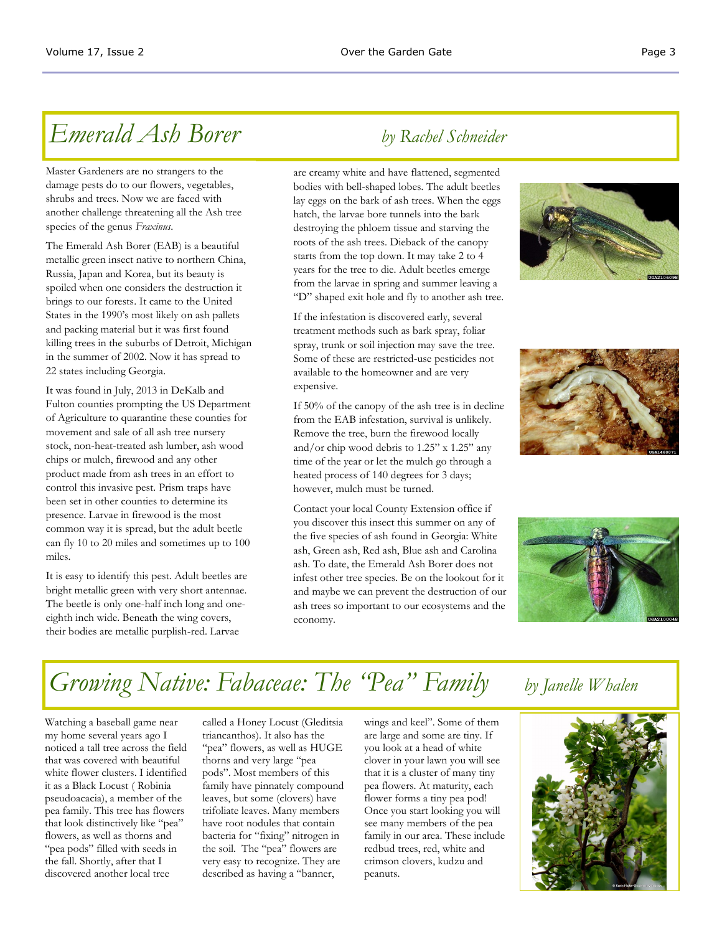## *Emerald Ash Borer by Rachel Schneider*

Master Gardeners are no strangers to the damage pests do to our flowers, vegetables, shrubs and trees. Now we are faced with another challenge threatening all the Ash tree species of the genus *Fraxinus*.

The Emerald Ash Borer (EAB) is a beautiful metallic green insect native to northern China, Russia, Japan and Korea, but its beauty is spoiled when one considers the destruction it brings to our forests. It came to the United States in the 1990's most likely on ash pallets and packing material but it was first found killing trees in the suburbs of Detroit, Michigan in the summer of 2002. Now it has spread to 22 states including Georgia.

It was found in July, 2013 in DeKalb and Fulton counties prompting the US Department of Agriculture to quarantine these counties for movement and sale of all ash tree nursery stock, non-heat-treated ash lumber, ash wood chips or mulch, firewood and any other product made from ash trees in an effort to control this invasive pest. Prism traps have been set in other counties to determine its presence. Larvae in firewood is the most common way it is spread, but the adult beetle can fly 10 to 20 miles and sometimes up to 100 miles.

It is easy to identify this pest. Adult beetles are bright metallic green with very short antennae. The beetle is only one-half inch long and oneeighth inch wide. Beneath the wing covers, their bodies are metallic purplish-red. Larvae

are creamy white and have flattened, segmented bodies with bell-shaped lobes. The adult beetles lay eggs on the bark of ash trees. When the eggs hatch, the larvae bore tunnels into the bark destroying the phloem tissue and starving the roots of the ash trees. Dieback of the canopy starts from the top down. It may take 2 to 4 years for the tree to die. Adult beetles emerge from the larvae in spring and summer leaving a "D" shaped exit hole and fly to another ash tree.

If the infestation is discovered early, several treatment methods such as bark spray, foliar spray, trunk or soil injection may save the tree. Some of these are restricted-use pesticides not available to the homeowner and are very expensive.

If 50% of the canopy of the ash tree is in decline from the EAB infestation, survival is unlikely. Remove the tree, burn the firewood locally and/or chip wood debris to 1.25" x 1.25" any time of the year or let the mulch go through a heated process of 140 degrees for 3 days; however, mulch must be turned.

Contact your local County Extension office if you discover this insect this summer on any of the five species of ash found in Georgia: White ash, Green ash, Red ash, Blue ash and Carolina ash. To date, the Emerald Ash Borer does not infest other tree species. Be on the lookout for it and maybe we can prevent the destruction of our ash trees so important to our ecosystems and the economy.







## *Growing Native: Fabaceae: The "Pea" Family by Janelle Whalen*

Watching a baseball game near my home several years ago I noticed a tall tree across the field that was covered with beautiful white flower clusters. I identified it as a Black Locust ( Robinia pseudoacacia), a member of the pea family. This tree has flowers that look distinctively like "pea" flowers, as well as thorns and "pea pods" filled with seeds in the fall. Shortly, after that I discovered another local tree

called a Honey Locust (Gleditsia triancanthos). It also has the "pea" flowers, as well as HUGE thorns and very large "pea pods". Most members of this family have pinnately compound leaves, but some (clovers) have trifoliate leaves. Many members have root nodules that contain bacteria for "fixing" nitrogen in the soil. The "pea" flowers are very easy to recognize. They are described as having a "banner,

wings and keel". Some of them are large and some are tiny. If you look at a head of white clover in your lawn you will see that it is a cluster of many tiny pea flowers. At maturity, each flower forms a tiny pea pod! Once you start looking you will see many members of the pea family in our area. These include redbud trees, red, white and crimson clovers, kudzu and peanuts.